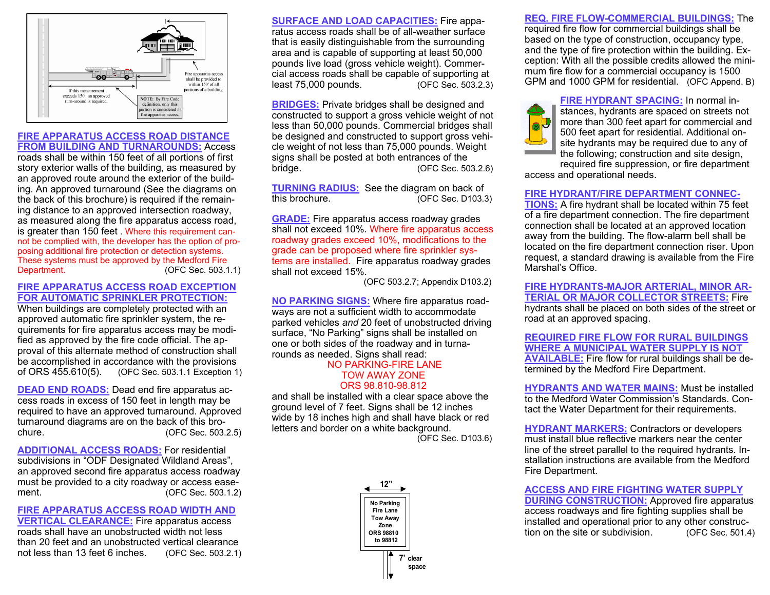

#### **FIRE APPARATUS ACCESS ROAD DISTANCE FROM BUILDING AND TURNAROUNDS:** Access

roads shall be within 150 feet of all portions of first story exterior walls of the building, as measured by an approved route around the exterior of the building. An approved turnaround (See the diagrams on the back of this brochure) is required if the remaining distance to an approved intersection roadway, as measured along the fire apparatus access road, is greater than 150 feet . Where this requirement cannot be complied with, the developer has the option of proposing additional fire protection or detection systems. These systems must be approved by the Medford Fire Department. (OFC Sec. 503.1.1)

### **FIRE APPARATUS ACCESS ROAD EXCEPTION FOR AUTOMATIC SPRINKLER PROTECTION:**

When buildings are completely protected with an approved automatic fire sprinkler system, the requirements for fire apparatus access may be modified as approved by the fire code official. The approval of this alternate method of construction shall be accomplished in accordance with the provisions of ORS 455.610(5). (OFC Sec. 503.1.1 Exception 1)

**DEAD END ROADS:** Dead end fire apparatus access roads in excess of 150 feet in length may be required to have an approved turnaround. Approved turnaround diagrams are on the back of this brochure. (OFC Sec. 503.2.5)

**ADDITIONAL ACCESS ROADS:** For residential subdivisions in "ODF Designated Wildland Areas", an approved second fire apparatus access roadway must be provided to a city roadway or access easement. (OFC Sec. 503.1.2)

### **FIRE APPARATUS ACCESS ROAD WIDTH AND VERTICAL CLEARANCE:** Fire apparatus access roads shall have an unobstructed width not less than 20 feet and an unobstructed vertical clearance not less than 13 feet 6 inches. (OFC Sec. 503.2.1)

**SURFACE AND LOAD CAPACITIES:** Fire apparatus access roads shall be of all-weather surface that is easily distinguishable from the surrounding area and is capable of supporting at least 50,000 pounds live load (gross vehicle weight). Commercial access roads shall be capable of supporting at least 75,000 pounds. (OFC Sec. 503.2.3)

**BRIDGES:** Private bridges shall be designed and constructed to support a gross vehicle weight of not less than 50,000 pounds. Commercial bridges shall be designed and constructed to support gross vehicle weight of not less than 75,000 pounds. Weight signs shall be posted at both entrances of the bridge. (OFC Sec. 503.2.6)

**TURNING RADIUS:** See the diagram on back of this brochure. (OFC Sec. D103.3)

**GRADE:** Fire apparatus access roadway grades shall not exceed 10%. Where fire apparatus access roadway grades exceed 10%, modifications to the grade can be proposed where fire sprinkler systems are installed. Fire apparatus roadway grades shall not exceed 15%.

(OFC 503.2.7; Appendix D103.2)

**NO PARKING SIGNS:** Where fire apparatus roadways are not a sufficient width to accommodate parked vehicles *and* 20 feet of unobstructed driving surface, "No Parking" signs shall be installed on one or both sides of the roadway and in turnarounds as needed. Signs shall read:

#### NO PARKING-FIRE LANE TOW AWAY ZONE ORS 98.810-98.812

and shall be installed with a clear space above the ground level of 7 feet. Signs shall be 12 inches wide by 18 inches high and shall have black or red letters and border on a white background.

(OFC Sec. D103.6)



**REQ. FIRE FLOW-COMMERCIAL BUILDINGS:** The required fire flow for commercial buildings shall be based on the type of construction, occupancy type, and the type of fire protection within the building. Exception: With all the possible credits allowed the minimum fire flow for a commercial occupancy is 1500 GPM and 1000 GPM for residential. (OFC Append. B)

**FIRE HYDRANT SPACING:** In normal instances, hydrants are spaced on streets not more than 300 feet apart for commercial and 500 feet apart for residential. Additional onsite hydrants may be required due to any of the following; construction and site design,

required fire suppression, or fire department access and operational needs.

# **FIRE HYDRANT/FIRE DEPARTMENT CONNEC-**

**TIONS:** A fire hydrant shall be located within 75 feet of a fire department connection. The fire department connection shall be located at an approved location away from the building. The flow-alarm bell shall be located on the fire department connection riser. Upon request, a standard drawing is available from the Fire Marshal's Office.

**FIRE HYDRANTS-MAJOR ARTERIAL, MINOR AR-TERIAL OR MAJOR COLLECTOR STREETS:** Fire hydrants shall be placed on both sides of the street or road at an approved spacing.

**REQUIRED FIRE FLOW FOR RURAL BUILDINGS WHERE A MUNICIPAL WATER SUPPLY IS NOT AVAILABLE:** Fire flow for rural buildings shall be determined by the Medford Fire Department.

**HYDRANTS AND WATER MAINS:** Must be installed to the Medford Water Commission's Standards. Contact the Water Department for their requirements.

**HYDRANT MARKERS:** Contractors or developers must install blue reflective markers near the center line of the street parallel to the required hydrants. Installation instructions are available from the Medford Fire Department.

**ACCESS AND FIRE FIGHTING WATER SUPPLY DURING CONSTRUCTION: Approved fire apparatus** access roadways and fire fighting supplies shall be installed and operational prior to any other construction on the site or subdivision. (OFC Sec. 501.4)